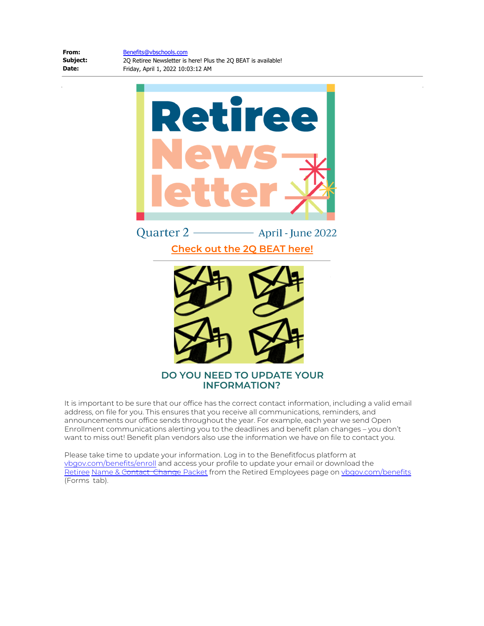[Benefits@vbschools.com](mailto:Benefits@vbschools.com)

**From: Subject: Date:**

2Q Retiree Newsletter is here! Plus the 2Q BEAT is available! Friday, April 1, 2022 10:03:12 AM



Quarter 2 -- April - June 2022 **[Check out the 2Q BEAT here!](https://www.vbgov.com/Site-Info/employees/benefits/Documents/BEWell/2Q%20BEAT%202022_WEB.pdf)**



# **DO YOU NEED TO UPDATE YOUR INFORMATION?**

It is important to be sure that our office has the correct contact information, including a valid email address, on file for you. This ensures that you receive all communications, reminders, and announcements our office sends throughout the year. For example, each year we send Open Enrollment communications alerting you to the deadlines and benefit plan changes – you don't want to miss out! Benefit plan vendors also use the information we have on file to contact you.

Please take time to update your information. Log in to the Benefitfocus platform at [vbgov.com/benefits/enroll](https://www.vbgov.com/Site-Info/employees/benefits/Pages/enroll.aspx) and access your profile to update your email or download the [Retiree](https://nam11.safelinks.protection.outlook.com/?url=https%3A%2F%2Fwww.vbgov.com%2FSite-Info%2Femployees%2Fbenefits%2FDocuments%2FRetiree%2520Name-Contact%2520Data%2520Change%2520Packet.pdf&data=04%7C01%7CErica.Hunter%40vbschools.com%7Cca31be763d9446a0e64008da13e8058d%7C4cb2e3229c834bc49fbaf826953f8e57%7C0%7C0%7C637844185919051138%7CUnknown%7CTWFpbGZsb3d8eyJWIjoiMC4wLjAwMDAiLCJQIjoiV2luMzIiLCJBTiI6Ik1haWwiLCJXVCI6Mn0%3D%7C3000&sdata=1plf00i1othPFHNyKDJih2ecwVNaGedgqrTbnvLIEj4%3D&reserved=0) [Name & Contact Change Packet](https://www.vbgov.com/Site-Info/employees/benefits/Documents/Retiree%20Name-Contact%20Data%20Change%20Packet.pdf) from the Retired Employees page on [vbgov.com/benefits](https://www.vbgov.com/Site-Info/employees/benefits/Pages/default.aspx) (Forms tab).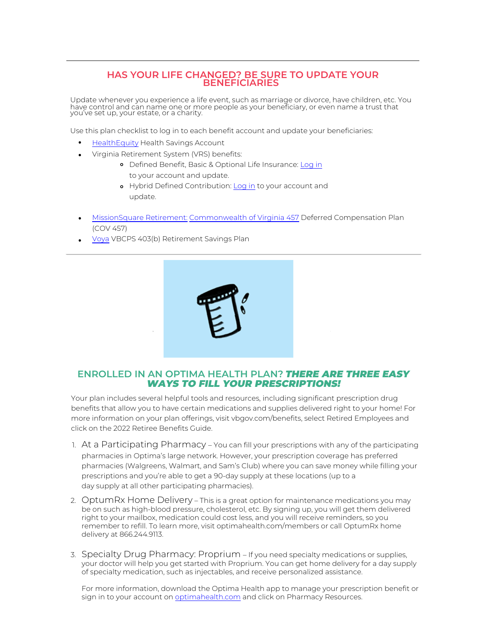## **HAS YOUR LIFE CHANGED? BE SURE TO UPDATE YOUR BENEFICIARIES**

Update whenever you experience a life event, such as marriage or divorce, have children, etc. You have control and can name one or more people as your beneficiary, or even name a trust that you've set up, your estate, or a charity.

Use this plan checklist to log in to each benefit account and update your beneficiaries:

- [HealthEquity](https://my.healthequity.com/ClientLogin.aspx) Health Savings Account
- Virginia Retirement System (VRS) benefits:
	- Defined Benefit, Basic & Optional Life Insurance: [Log in](https://myvrs.varetire.org/login/) to your account and update.
	- o Hybrid Defined Contribution: [Log in](https://accountaccess.icmarc.org/participant/login_vrs.jsp) to your account and update.
- [MissionSquare](https://www.icmarc.org/) [Retirement:](https://www.icmarc.org/) [Commonwealth of Virginia 457](https://www.icmarc.org/) Deferred Compensation Plan (COV 457)
- [Voya](https://vbcps403b.beready2retire.com/) VBCPS 403(b) Retirement Savings Plan



## **ENROLLED IN AN OPTIMA HEALTH PLAN?** THERE ARE THREE EASY WAYS TO FILL YOUR PRESCRIPTIONS!

Your plan includes several helpful tools and resources, including significant prescription drug benefits that allow you to have certain medications and supplies delivered right to your home! For more information on your plan offerings, visit vbgov.com/benefits, select Retired Employees and click on the 2022 Retiree Benefits Guide.

- 1. At a Participating Pharmacy You can fill your prescriptions with any of the participating pharmacies in Optima's large network. However, your prescription coverage has preferred pharmacies (Walgreens, Walmart, and Sam's Club) where you can save money while filling your prescriptions and you're able to get a 90-day supply at these locations (up to a day supply at all other participating pharmacies).
- 2. OptumRx Home Delivery This is a great option for maintenance medications you may be on such as high-blood pressure, cholesterol, etc. By signing up, you will get them delivered right to your mailbox, medication could cost less, and you will receive reminders, so you remember to refill. To learn more, visit optimahealth.com/members or call OptumRx home delivery at 866.244.9113.
- 3. Specialty Drug Pharmacy: Proprium If you need specialty medications or supplies, your doctor will help you get started with Proprium. You can get home delivery for a day supply of specialty medication, such as injectables, and receive personalized assistance.

For more information, download the Optima Health app to manage your prescription benefit or sign in to your account on [optimahealth.com a](https://www.optimahealth.com/)nd click on Pharmacy Resources.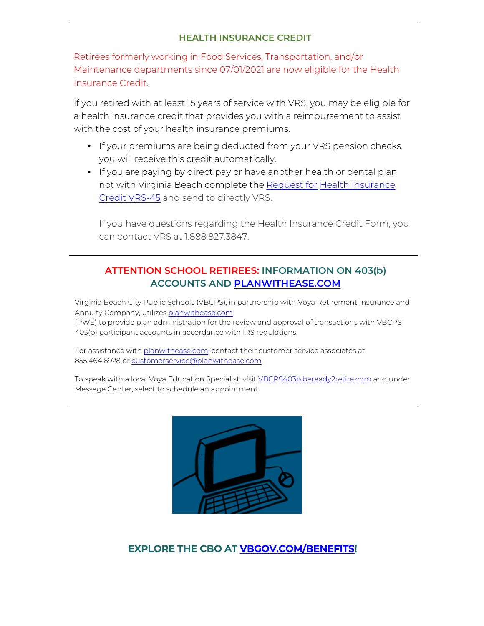# **HEALTH INSURANCE CREDIT**

Retirees formerly working in Food Services, Transportation, and/or Maintenance departments since 07/01/2021 are now eligible for the Health Insurance Credit.

If you retired with at least 15 years of service with VRS, you may be eligible for a health insurance credit that provides you with a reimbursement to assist with the cost of your health insurance premiums.

- If your premiums are being deducted from your VRS pension checks, you will receive this credit automatically.
- If you are paying by direct pay or have another health or dental plan not with Virginia Beach complete the [Request for Health Insurance](https://www.varetire.org/pdf/forms/vrs-45.pdf) [Credit VRS-45](https://www.varetire.org/pdf/forms/vrs-45.pdf) and send to directly VRS.

If you have questions regarding the Health Insurance Credit Form, you can contact VRS at 1.888.827.3847.

# **ATTENTION SCHOOL RETIREES: INFORMATION ON 403(b) ACCOUNTS AND [PLANWITHEASE.COM](https://planwithease.beready2retire.com/?TAM_OP=login)**

Virginia Beach City Public Schools (VBCPS), in partnership with Voya Retirement Insurance and Annuity Company, utilizes [planwithease.com](https://planwithease.beready2retire.com/?TAM_OP=login) (PWE) to provide plan administration for the review and approval of transactions with VBCPS 403(b) participant accounts in accordance with IRS regulations.

For assistance with [planwithease.com,](https://planwithease.beready2retire.com/?TAM_OP=login) contact their customer service associates at 855.464.6928 or customerservice@planwithease.com.

To speak with a local Voya Education Specialist, visit [VBCPS403b.beready2retire.com](https://vbcps403b.beready2retire.com/) and under Message Center, select to schedule an appointment.



# **EXPLORE THE CBO AT [VBGOV.COM/BENEFITS!](https://www.vbgov.com/Site-Info/employees/benefits/Pages/default.aspx)**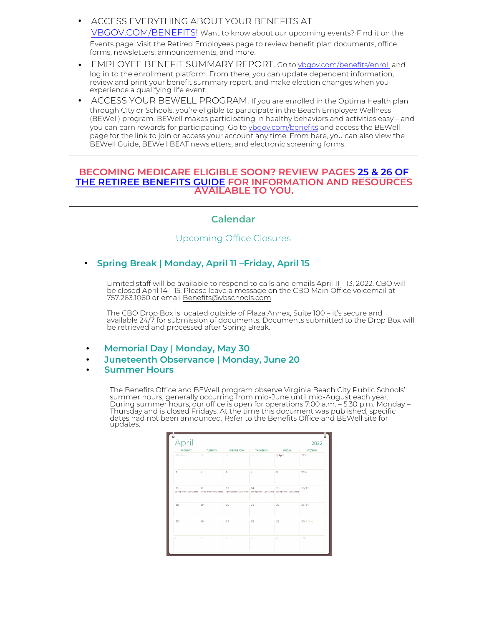- ACCESS EVERYTHING ABOUT YOUR BENEFITS AT [VBGOV.COM/BENEFITS!](https://www.vbgov.com/Site-Info/employees/benefits/Pages/default.aspx) Want to know about our upcoming events? Find it on the Events page. Visit the Retired Employees page to review benefit plan documents, office forms, newsletters, announcements, and more.
- EMPLOYEE BENEFIT SUMMARY REPORT. Go to [vbgov.com/benefits/enroll](https://www.vbgov.com/Site-Info/employees/benefits/Pages/enroll.aspx) and log in to the enrollment platform. From there, you can update dependent information, review and print your benefit summary report, and make election changes when you experience a qualifying life event.
- ACCESS YOUR BEWELL PROGRAM. If you are enrolled in the Optima Health plan through City or Schools, you're eligible to participate in the Beach Employee Wellness (BEWell) program. BEWell makes participating in healthy behaviors and activities easy – and you can earn rewards for participating! Go to [vbgov.com/benefits](https://www.vbgov.com/Site-Info/employees/benefits/Pages/default.aspx) and access the BEWell page for the link to join or access your account any time. From here, you can also view the BEWell Guide, BEWell BEAT newsletters, and electronic screening forms.

## **BECOMING MEDICARE ELIGIBLE SOON? REVIEW PAGES [25 & 26 OF](https://www.vbgov.com/Site-Info/employees/benefits/Documents/Retiree/2022%20Retiree%20Guide.pdf) [THE RETIREE BENEFITS GUIDE](https://www.vbgov.com/Site-Info/employees/benefits/Documents/Retiree/2022%20Retiree%20Guide.pdf) FOR INFORMATION AND RESOURCES AVAILABLE TO YOU.**

# **Calendar**

## Upcoming Office Closures

**Spring Break | Monday, April 11 –Friday, April 15**

Limited staff will be available to respond to calls and emails April 11 - 13, 2022. CBO will be closed April 14 - 15. Please leave a message on the CBO Main Office voicemail at 757.263.1060 or email Benefits@vbschools.com.

The CBO Drop Box is located outside of Plaza Annex, Suite 100 – it's secure and available 24/7 for submission of documents. Documents submitted to the Drop Box will be retrieved and processed after Spring Break.

- **Memorial Day | Monday, May 30**
- **Juneteenth Observance | Monday, June 20**
- **Summer Hours**

The Benefits Office and BEWell program observe Virginia Beach City Public Schools' summer hours, generally occurring from mid-June until mid-August each year. During summer hours, our office is open for operations 7:00 a.m. – 5:30 p.m. Monday – Thursday and is closed Fridays. At the time this document was published, specific dates had not been announced. Refer to the Benefits Office and BEWell site for updates.

| April         |                                                                                                                                                 |                                |                 |               | 2022     |
|---------------|-------------------------------------------------------------------------------------------------------------------------------------------------|--------------------------------|-----------------|---------------|----------|
| <b>MONDAY</b> | <b>TUESDAY</b>                                                                                                                                  | WEDNESDAY<br><b>STATISTICS</b> | <b>THURSDAY</b> | <b>FRIDAY</b> | SAT/SUN  |
| 28 March      | 29                                                                                                                                              | 30                             | 31              | 1 April       | 2/3      |
| 4             | 5                                                                                                                                               | 6                              | $\overline{7}$  | 8             | 9/10     |
| 11            | 12<br>Spring Break   CBO Closed   Spring Break   CBO Closed   Spring Break   CBO Closed   Spring Break   CBO Closed   Spring Break   CBO Closed | 13                             | 14              | 15            | 16/17    |
| 18            | 19                                                                                                                                              | 20                             | 21              | 22            | 23/24    |
| 25            | 26                                                                                                                                              | 27                             | 28              | 29            | 30/1 May |
|               | 3'                                                                                                                                              | 4                              | 5               | 6             | 7/8      |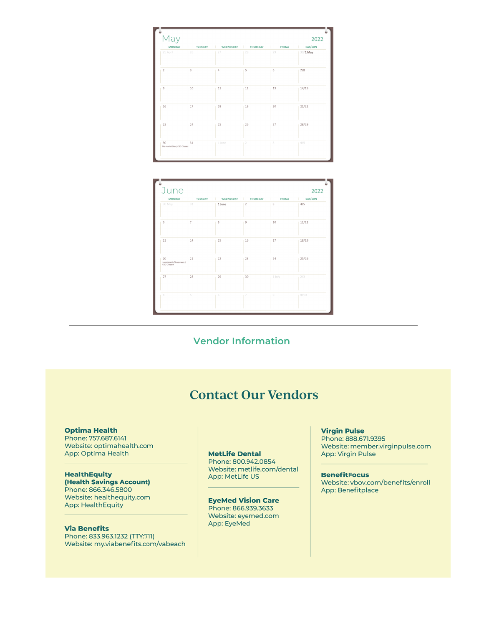| May                             |                |                |                |                                     | 2022       |
|---------------------------------|----------------|----------------|----------------|-------------------------------------|------------|
| <b>MONDAY</b>                   | <b>TUESDAY</b> | WEDNESDAY      | THURSDAY       | <b>FRIDAY</b><br><b>The Company</b> | SAT/SUN    |
| 25 April                        | 26             | 27             | 28             | 29                                  | $30/1$ May |
| $\,2\,$                         | 3              | $\overline{4}$ | 5              | 6                                   | 7/8        |
| $\overline{9}$                  | 10             | 11             | 12             | 13                                  | 14/15      |
| 16                              | 17             | 18             | 19             | 20                                  | 21/22      |
| 23                              | 24             | 25             | 26             | 27                                  | 28/29      |
| 30<br>Memorial Day   CBO Closed | 31             | 1 June         | $\overline{2}$ | 3                                   | 4/5        |

| June                                        |                |                      |                |                                           | 2022                                                                                                                                                                                                                                            |
|---------------------------------------------|----------------|----------------------|----------------|-------------------------------------------|-------------------------------------------------------------------------------------------------------------------------------------------------------------------------------------------------------------------------------------------------|
| <b>MONDAY</b>                               | <b>TUESDAY</b> | WEDNESDAY   THURSDAY |                | <b>FRIDAY</b><br><b>Contract Contract</b> | SAT/SUN<br><b>The Contract of the Contract of the Contract of the Contract of the Contract of the Contract of the Contract of the Contract of the Contract of the Contract of the Contract of the Contract of the Contract of the Contract </b> |
| 30 May                                      | 31             | 1 June               | $\overline{2}$ | 3                                         | 4/5                                                                                                                                                                                                                                             |
| 6                                           | 7              | 8                    | 9              | 10                                        | 11/12                                                                                                                                                                                                                                           |
| 13                                          | 14             | 15                   | 16             | 17                                        | 18/19                                                                                                                                                                                                                                           |
| 20<br>Juneteenth Observance  <br>CBO Closed | 21             | 22                   | 23             | 24                                        | 25/26                                                                                                                                                                                                                                           |
| 27                                          | 28             | 29                   | 30             | 1 July                                    | 2/3                                                                                                                                                                                                                                             |
| 4                                           | 5              | 6                    |                | 8                                         | 9/10                                                                                                                                                                                                                                            |

**Vendor Information** 

# **Contact Our Vendors**

### **Optima Health**

Phone: 757.687.6141 Website: optimahealth.com App: Optima Health

**HealthEquity** (Health Savings Account) Phone: 866.346.5800 Website: healthequity.com **App: HealthEquity** 

**Via Benefits** 

Phone: 833.963.1232 (TTY:711) Website: my.viabenefits.com/vabeach

## **MetLife Dental**

Phone: 800.942.0854 Website: metlife.com/dental App: MetLife US

**EyeMed Vision Care** Phone: 866.939.3633 Website: eyemed.com App: EyeMed

### **Virgin Pulse**

Phone: 888.671.9395 Website: member.virginpulse.com App: Virgin Pulse

**BenefitFocus** Website: vbov.com/benefits/enroll App: Benefitplace